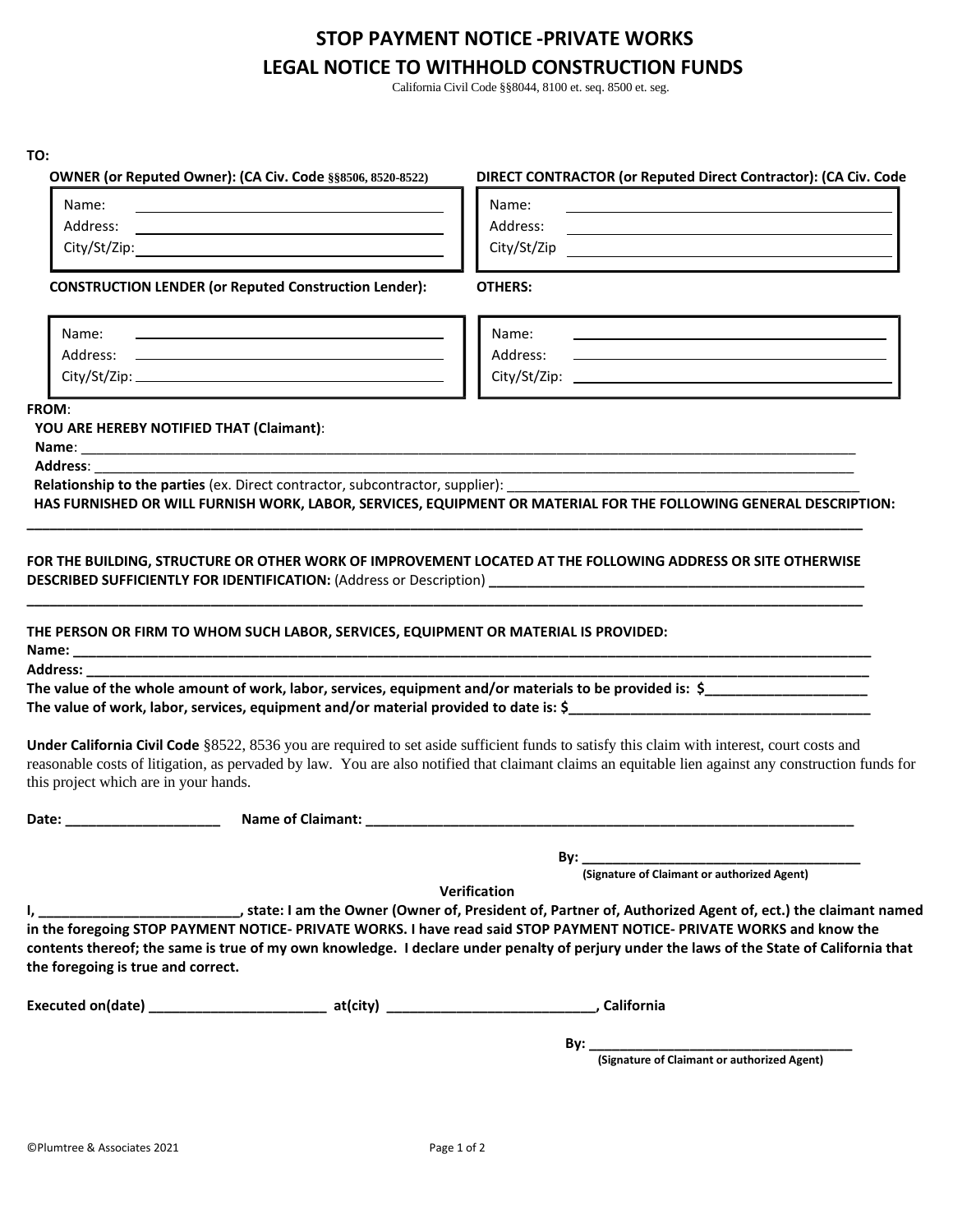## **STOP PAYMENT NOTICE -PRIVATE WORKS LEGAL NOTICE TO WITHHOLD CONSTRUCTION FUNDS**

California Civil Code §§8044, 8100 et. seq. 8500 et. seg.

| TO:                                               |                                                                                                                                                                                                                    |                                                                                                                                                                                                                                                                                                                                                                                                                                                                                                     |
|---------------------------------------------------|--------------------------------------------------------------------------------------------------------------------------------------------------------------------------------------------------------------------|-----------------------------------------------------------------------------------------------------------------------------------------------------------------------------------------------------------------------------------------------------------------------------------------------------------------------------------------------------------------------------------------------------------------------------------------------------------------------------------------------------|
| Name:                                             | OWNER (or Reputed Owner): (CA Civ. Code §§8506, 8520-8522)                                                                                                                                                         | DIRECT CONTRACTOR (or Reputed Direct Contractor): (CA Civ. Code<br>Name:                                                                                                                                                                                                                                                                                                                                                                                                                            |
| Address:                                          | the control of the control of the control of the control of the control of the control of<br><u> 1989 - Johann Harry Harry Harry Harry Harry Harry Harry Harry Harry Harry Harry Harry Harry Harry Harry Harry</u> | Address:<br>the control of the control of the control of the control of the control of the control of                                                                                                                                                                                                                                                                                                                                                                                               |
|                                                   |                                                                                                                                                                                                                    |                                                                                                                                                                                                                                                                                                                                                                                                                                                                                                     |
|                                                   | <b>CONSTRUCTION LENDER (or Reputed Construction Lender):</b>                                                                                                                                                       | <b>OTHERS:</b>                                                                                                                                                                                                                                                                                                                                                                                                                                                                                      |
| Name:                                             |                                                                                                                                                                                                                    | Name:                                                                                                                                                                                                                                                                                                                                                                                                                                                                                               |
|                                                   |                                                                                                                                                                                                                    | Address:<br><u> 1989 - Johann Stein, mars an de Britannich (b. 1989)</u>                                                                                                                                                                                                                                                                                                                                                                                                                            |
|                                                   |                                                                                                                                                                                                                    |                                                                                                                                                                                                                                                                                                                                                                                                                                                                                                     |
| FROM:<br>YOU ARE HEREBY NOTIFIED THAT (Claimant): |                                                                                                                                                                                                                    | Relationship to the parties (ex. Direct contractor, subcontractor, supplier): ________________________________<br>HAS FURNISHED OR WILL FURNISH WORK, LABOR, SERVICES, EQUIPMENT OR MATERIAL FOR THE FOLLOWING GENERAL DESCRIPTION:                                                                                                                                                                                                                                                                 |
|                                                   |                                                                                                                                                                                                                    | FOR THE BUILDING, STRUCTURE OR OTHER WORK OF IMPROVEMENT LOCATED AT THE FOLLOWING ADDRESS OR SITE OTHERWISE<br>THE PERSON OR FIRM TO WHOM SUCH LABOR, SERVICES, EQUIPMENT OR MATERIAL IS PROVIDED:                                                                                                                                                                                                                                                                                                  |
|                                                   |                                                                                                                                                                                                                    |                                                                                                                                                                                                                                                                                                                                                                                                                                                                                                     |
|                                                   |                                                                                                                                                                                                                    |                                                                                                                                                                                                                                                                                                                                                                                                                                                                                                     |
|                                                   |                                                                                                                                                                                                                    | The value of the whole amount of work, labor, services, equipment and/or materials to be provided is: \$                                                                                                                                                                                                                                                                                                                                                                                            |
|                                                   |                                                                                                                                                                                                                    | The value of work, labor, services, equipment and/or material provided to date is: \$                                                                                                                                                                                                                                                                                                                                                                                                               |
| this project which are in your hands.             |                                                                                                                                                                                                                    | Under California Civil Code §8522, 8536 you are required to set aside sufficient funds to satisfy this claim with interest, court costs and<br>reasonable costs of litigation, as pervaded by law. You are also notified that claimant claims an equitable lien against any construction funds for                                                                                                                                                                                                  |
|                                                   |                                                                                                                                                                                                                    |                                                                                                                                                                                                                                                                                                                                                                                                                                                                                                     |
|                                                   |                                                                                                                                                                                                                    | By:<br><b>Manuel Community Community Community Community</b><br>(Signature of Claimant or authorized Agent)                                                                                                                                                                                                                                                                                                                                                                                         |
|                                                   |                                                                                                                                                                                                                    | Verification                                                                                                                                                                                                                                                                                                                                                                                                                                                                                        |
| the foregoing is true and correct.                |                                                                                                                                                                                                                    | state: I am the Owner (Owner of, President of, Partner of, Authorized Agent of, ect.) the claimant named ريد المستقل العاملية المستقل المستقل المستقل المستقل المستقل المستقل المستقل المستقل المستقل المستقل المستقل المستقل<br>in the foregoing STOP PAYMENT NOTICE- PRIVATE WORKS. I have read said STOP PAYMENT NOTICE- PRIVATE WORKS and know the<br>contents thereof; the same is true of my own knowledge. I declare under penalty of perjury under the laws of the State of California that |
|                                                   |                                                                                                                                                                                                                    |                                                                                                                                                                                                                                                                                                                                                                                                                                                                                                     |
|                                                   |                                                                                                                                                                                                                    |                                                                                                                                                                                                                                                                                                                                                                                                                                                                                                     |
|                                                   |                                                                                                                                                                                                                    |                                                                                                                                                                                                                                                                                                                                                                                                                                                                                                     |
|                                                   |                                                                                                                                                                                                                    |                                                                                                                                                                                                                                                                                                                                                                                                                                                                                                     |